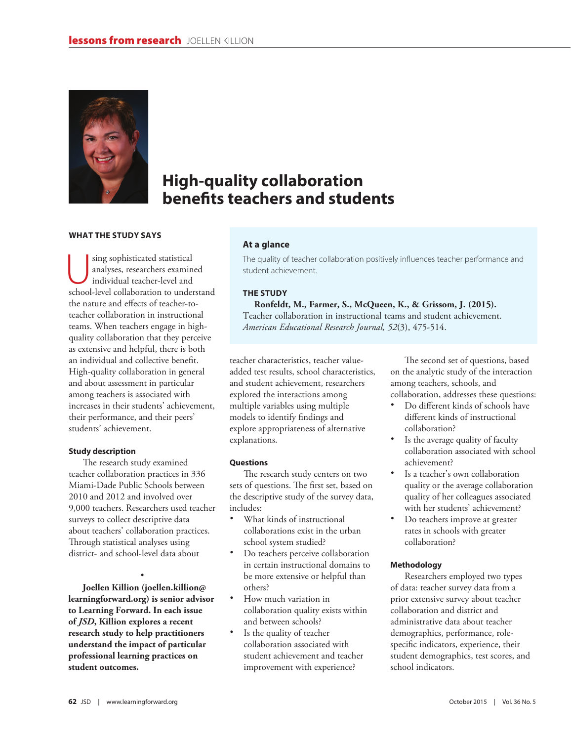

# **High-quality collaboration benefits teachers and students**

# **WHAT THE STUDY SAYS**

sing sophisticated statistical<br>
analyses, researchers examine<br>
individual teacher-level and<br>
school level collaboration to under analyses, researchers examined school-level collaboration to understand the nature and effects of teacher-toteacher collaboration in instructional teams. When teachers engage in highquality collaboration that they perceive as extensive and helpful, there is both an individual and collective benefit. High-quality collaboration in general and about assessment in particular among teachers is associated with increases in their students' achievement, their performance, and their peers' students' achievement.

#### **Study description**

The research study examined teacher collaboration practices in 336 Miami-Dade Public Schools between 2010 and 2012 and involved over 9,000 teachers. Researchers used teacher surveys to collect descriptive data about teachers' collaboration practices. Through statistical analyses using district- and school-level data about

• **Joellen Killion (joellen.killion@ learningforward.org) is senior advisor to Learning Forward. In each issue of** *JSD***, Killion explores a recent research study to help practitioners understand the impact of particular professional learning practices on student outcomes.**

# **At a glance**

The quality of teacher collaboration positively influences teacher performance and student achievement.

# **THE STUDY**

**Ronfeldt, M., Farmer, S., McQueen, K., & Grissom, J. (2015).** Teacher collaboration in instructional teams and student achievement. *American Educational Research Journal, 52*(3), 475-514.

teacher characteristics, teacher valueadded test results, school characteristics, and student achievement, researchers explored the interactions among multiple variables using multiple models to identify findings and explore appropriateness of alternative explanations.

#### **Questions**

The research study centers on two sets of questions. The first set, based on the descriptive study of the survey data, includes:

- What kinds of instructional collaborations exist in the urban school system studied?
- Do teachers perceive collaboration in certain instructional domains to be more extensive or helpful than others?
- How much variation in collaboration quality exists within and between schools?
- Is the quality of teacher collaboration associated with student achievement and teacher improvement with experience?

The second set of questions, based on the analytic study of the interaction among teachers, schools, and collaboration, addresses these questions:

- Do different kinds of schools have different kinds of instructional collaboration?
- Is the average quality of faculty collaboration associated with school achievement?
- Is a teacher's own collaboration quality or the average collaboration quality of her colleagues associated with her students' achievement?
- Do teachers improve at greater rates in schools with greater collaboration?

#### **Methodology**

Researchers employed two types of data: teacher survey data from a prior extensive survey about teacher collaboration and district and administrative data about teacher demographics, performance, rolespecific indicators, experience, their student demographics, test scores, and school indicators.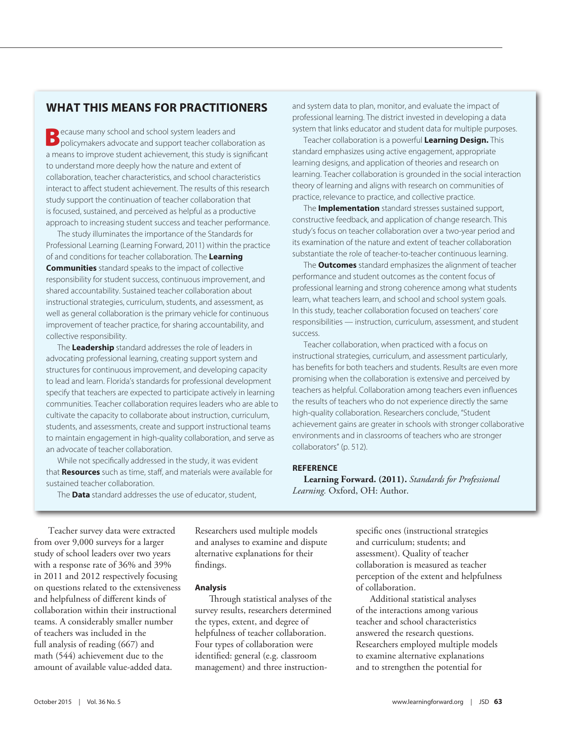# **WHAT THIS MEANS FOR PRACTITIONERS**

**Because many school and school system leaders and policymakers advocate and support teacher collaboration as** a means to improve student achievement, this study is significant to understand more deeply how the nature and extent of collaboration, teacher characteristics, and school characteristics interact to affect student achievement. The results of this research study support the continuation of teacher collaboration that is focused, sustained, and perceived as helpful as a productive approach to increasing student success and teacher performance.

The study illuminates the importance of the Standards for Professional Learning (Learning Forward, 2011) within the practice of and conditions for teacher collaboration. The **Learning Communities** standard speaks to the impact of collective responsibility for student success, continuous improvement, and shared accountability. Sustained teacher collaboration about instructional strategies, curriculum, students, and assessment, as well as general collaboration is the primary vehicle for continuous improvement of teacher practice, for sharing accountability, and collective responsibility.

The **Leadership** standard addresses the role of leaders in advocating professional learning, creating support system and structures for continuous improvement, and developing capacity to lead and learn. Florida's standards for professional development specify that teachers are expected to participate actively in learning communities. Teacher collaboration requires leaders who are able to cultivate the capacity to collaborate about instruction, curriculum, students, and assessments, create and support instructional teams to maintain engagement in high-quality collaboration, and serve as an advocate of teacher collaboration.

While not specifically addressed in the study, it was evident that **Resources** such as time, staff, and materials were available for sustained teacher collaboration.

and system data to plan, monitor, and evaluate the impact of professional learning. The district invested in developing a data system that links educator and student data for multiple purposes.

Teacher collaboration is a powerful **Learning Design.** This standard emphasizes using active engagement, appropriate learning designs, and application of theories and research on learning. Teacher collaboration is grounded in the social interaction theory of learning and aligns with research on communities of practice, relevance to practice, and collective practice.

The **Implementation** standard stresses sustained support, constructive feedback, and application of change research. This study's focus on teacher collaboration over a two-year period and its examination of the nature and extent of teacher collaboration substantiate the role of teacher-to-teacher continuous learning.

The **Outcomes** standard emphasizes the alignment of teacher performance and student outcomes as the content focus of professional learning and strong coherence among what students learn, what teachers learn, and school and school system goals. In this study, teacher collaboration focused on teachers' core responsibilities — instruction, curriculum, assessment, and student success.

Teacher collaboration, when practiced with a focus on instructional strategies, curriculum, and assessment particularly, has benefits for both teachers and students. Results are even more promising when the collaboration is extensive and perceived by teachers as helpful. Collaboration among teachers even influences the results of teachers who do not experience directly the same high-quality collaboration. Researchers conclude, "Student achievement gains are greater in schools with stronger collaborative environments and in classrooms of teachers who are stronger collaborators" (p. 512).

## **REFERENCE**

**Learning Forward. (2011).** *Standards for Professional Learning.* Oxford, OH: Author.

The **Data** standard addresses the use of educator, student,

Teacher survey data were extracted from over 9,000 surveys for a larger study of school leaders over two years with a response rate of 36% and 39% in 2011 and 2012 respectively focusing on questions related to the extensiveness and helpfulness of different kinds of collaboration within their instructional teams. A considerably smaller number of teachers was included in the full analysis of reading (667) and math (544) achievement due to the amount of available value-added data.

Researchers used multiple models and analyses to examine and dispute alternative explanations for their findings.

## **Analysis**

Through statistical analyses of the survey results, researchers determined the types, extent, and degree of helpfulness of teacher collaboration. Four types of collaboration were identified: general (e.g. classroom management) and three instructionspecific ones (instructional strategies and curriculum; students; and assessment). Quality of teacher collaboration is measured as teacher perception of the extent and helpfulness of collaboration.

Additional statistical analyses of the interactions among various teacher and school characteristics answered the research questions. Researchers employed multiple models to examine alternative explanations and to strengthen the potential for